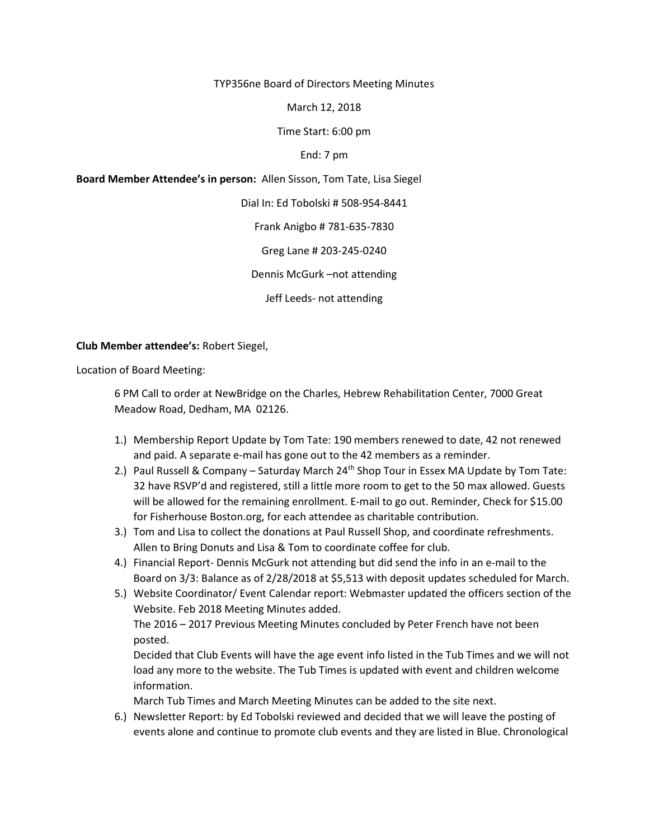TYP356ne Board of Directors Meeting Minutes

March 12, 2018

Time Start: 6:00 pm

End: 7 pm

Board Member Attendee's in person: Allen Sisson, Tom Tate, Lisa Siegel

Dial In: Ed Tobolski # 508-954-8441

Frank Anigbo # 781-635-7830

Greg Lane # 203-245-0240

Dennis McGurk –not attending

Jeff Leeds- not attending

## Club Member attendee's: Robert Siegel,

Location of Board Meeting:

6 PM Call to order at NewBridge on the Charles, Hebrew Rehabilitation Center, 7000 Great Meadow Road, Dedham, MA 02126.

- 1.) Membership Report Update by Tom Tate: 190 members renewed to date, 42 not renewed and paid. A separate e-mail has gone out to the 42 members as a reminder.
- 2.) Paul Russell & Company Saturday March 24<sup>th</sup> Shop Tour in Essex MA Update by Tom Tate: 32 have RSVP'd and registered, still a little more room to get to the 50 max allowed. Guests will be allowed for the remaining enrollment. E-mail to go out. Reminder, Check for \$15.00 for Fisherhouse Boston.org, for each attendee as charitable contribution.
- 3.) Tom and Lisa to collect the donations at Paul Russell Shop, and coordinate refreshments. Allen to Bring Donuts and Lisa & Tom to coordinate coffee for club.
- 4.) Financial Report- Dennis McGurk not attending but did send the info in an e-mail to the Board on 3/3: Balance as of 2/28/2018 at \$5,513 with deposit updates scheduled for March.
- 5.) Website Coordinator/ Event Calendar report: Webmaster updated the officers section of the Website. Feb 2018 Meeting Minutes added. The 2016 – 2017 Previous Meeting Minutes concluded by Peter French have not been

posted.

Decided that Club Events will have the age event info listed in the Tub Times and we will not load any more to the website. The Tub Times is updated with event and children welcome information.

March Tub Times and March Meeting Minutes can be added to the site next.

6.) Newsletter Report: by Ed Tobolski reviewed and decided that we will leave the posting of events alone and continue to promote club events and they are listed in Blue. Chronological